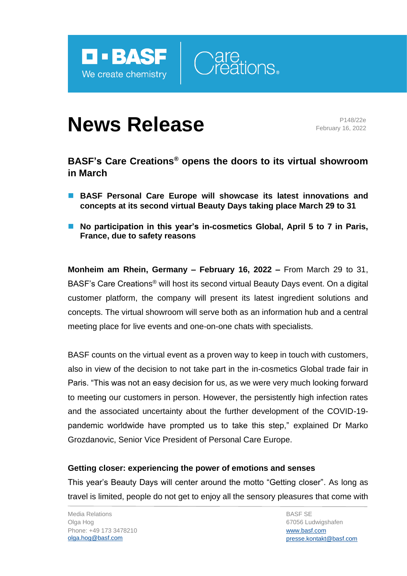



# **News Release** P148/22e

February 16, 2022

## **BASF's Care Creations® opens the doors to its virtual showroom in March**

- BASF Personal Care Europe will showcase its latest innovations and **concepts at its second virtual Beauty Days taking place March 29 to 31**
- No participation in this year's in-cosmetics Global, April 5 to 7 in Paris, **France, due to safety reasons**

**Monheim am Rhein, Germany – February 16, 2022 –** From March 29 to 31, BASF's Care Creations<sup>®</sup> will host its second virtual Beauty Days event. On a digital customer platform, the company will present its latest ingredient solutions and concepts. The virtual showroom will serve both as an information hub and a central meeting place for live events and one-on-one chats with specialists.

BASF counts on the virtual event as a proven way to keep in touch with customers, also in view of the decision to not take part in the in-cosmetics Global trade fair in Paris. "This was not an easy decision for us, as we were very much looking forward to meeting our customers in person. However, the persistently high infection rates and the associated uncertainty about the further development of the COVID-19 pandemic worldwide have prompted us to take this step," explained Dr Marko Grozdanovic, Senior Vice President of Personal Care Europe.

### **Getting closer: experiencing the power of emotions and senses**

This year's Beauty Days will center around the motto "Getting closer". As long as travel is limited, people do not get to enjoy all the sensory pleasures that come with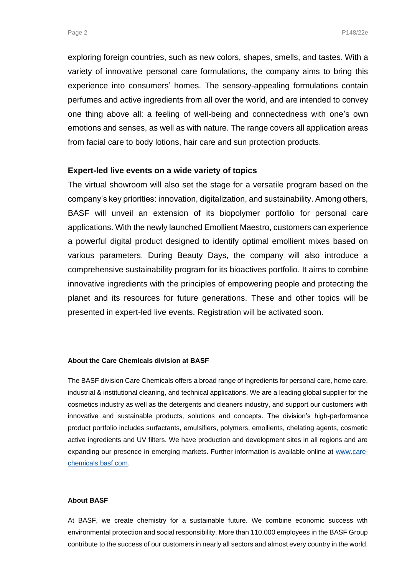exploring foreign countries, such as new colors, shapes, smells, and tastes. With a variety of innovative personal care formulations, the company aims to bring this experience into consumers' homes. The sensory-appealing formulations contain perfumes and active ingredients from all over the world, and are intended to convey one thing above all: a feeling of well-being and connectedness with one's own emotions and senses, as well as with nature. The range covers all application areas from facial care to body lotions, hair care and sun protection products.

#### **Expert-led live events on a wide variety of topics**

The virtual showroom will also set the stage for a versatile program based on the company's key priorities: innovation, digitalization, and sustainability. Among others, BASF will unveil an extension of its biopolymer portfolio for personal care applications. With the newly launched Emollient Maestro, customers can experience a powerful digital product designed to identify optimal emollient mixes based on various parameters. During Beauty Days, the company will also introduce a comprehensive sustainability program for its bioactives portfolio. It aims to combine innovative ingredients with the principles of empowering people and protecting the planet and its resources for future generations. These and other topics will be presented in expert-led live events. Registration will be activated soon.

#### **About the Care Chemicals division at BASF**

The BASF division Care Chemicals offers a broad range of ingredients for personal care, home care, industrial & institutional cleaning, and technical applications. We are a leading global supplier for the cosmetics industry as well as the detergents and cleaners industry, and support our customers with innovative and sustainable products, solutions and concepts. The division's high-performance product portfolio includes surfactants, emulsifiers, polymers, emollients, chelating agents, cosmetic active ingredients and UV filters. We have production and development sites in all regions and are expanding our presence in emerging markets. Further information is available online at [www.care](http://www.care-chemicals.basf.com/)[chemicals.basf.com.](http://www.care-chemicals.basf.com/)

#### **About BASF**

At BASF, we create chemistry for a sustainable future. We combine economic success wth environmental protection and social responsibility. More than 110,000 employees in the BASF Group contribute to the success of our customers in nearly all sectors and almost every country in the world.